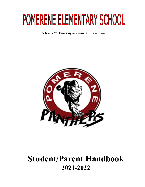# POMERENE ELEMENTARY SCHOOL

*"Over 100 Years of Student Achievement"*



## **Student/Parent Handbook 2021-2022**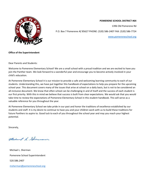

#### **POMERENE SCHOOL DISTRICT #64**

1396 Old Pomerene Rd

P.O. Box 7 Pomerene AZ 85627 PHONE: (520) 586-2407 FAX: (520) 586-7724

[www.pomereneschool.org](http://www.pomereneschool.org/)

#### **Office of the Superintendent**

Dear Parents and Students:

Welcome to Pomerene Elementary School! We are a small school with a proud tradition and we are excited to have you join the Panther team. We look forward to a wonderful year and encourage you to become actively involved in your child's education.

At Pomerene Elementary School it is our mission to provide a safe and welcoming learning community to each of our students. Understanding this, we have put together this handbook of expectations to help you prepare for the upcoming school year. This document covers many of the issues that arise at school on a daily basis, but is not to be considered an all-inclusive document. We know that often school can be challenging in and of itself and the success of each student is our first priority. With this in mind we believe that success is built from clear expectations. We would ask that you would take time to review the expectations of Pomerene Elementary School in this student handbook. This will serve as a valuable reference for you throughout the year.

At Pomerene Elementary School we take pride in our past and honor the traditions of excellence established by our students and staff. It is my desire to continue to have you and your children work with us to build these traditions for future Panthers to aspire to. Good luck to each of you throughout the school year and may you reach your highest potential.

Sincerely,

Muchand L. Sherman

 Michael L. Sherman Pomerene School Superintendent 520.586.2407 [msherman@pomereneschool.org](mailto:msherman@pomereneschool.org)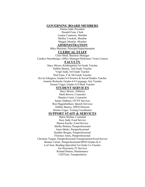#### **GOVERNING BOARD MEMBERS**

Danna Judd, President Donald Fenn, Clerk Lianna Contreras, Member Shelley Crockett, Member Maggie Montijo, Member

#### **ADMINISTRATION**

Mike Sherman, Principal/Superintendent

#### **CLERICAL STAFF**

Cheri Shull, Business Manager Candice Nuernberger, Office Manager/McKinney Vento Liaison

#### **FACULTY**

Stacy Moore, Kindergarten/1st Grade Teacher Debbie Barney, 2nd Grade Teacher Virgil Judd, 3rd Grade Teacher Paul Fenn,  $4^{\text{th}} \& 5$ th Grade Teacher Kevin Edington, Grades 6-8 Science & Social Studies Teacher Annette Richards, Grades 6-8 Language Arts Teacher Dennis Unger, Grades 6-8 Math Teacher

#### **STUDENT SERVICES**

Stacy Moore, Athletics Mark Brown, Counselor Shaulee Curtis, Counselor Sunny DeBaun, OT/PT Services Ron Higginbotham, Speech Services Debbie Barney, SPED Director Dennis Unger, Testing Coordinator

#### **SUPPORT STAFF & SERVICES**

Maria Molina, Custodial Suzy Judd, Food Service Sharon Keefer, Food Service Shelby Brittain, Paraprofessional Anna Marks, Paraprofessional Heather Brogan, Paraprofessional Florence Jones, Paraprofessional Christina Teague, Paraprofessional/Transportation/Food Service Bonnie Carner, Paraprofessional/SPED Grades K-8 Lori East, Reading Specialist/1st Grade Co-Teacher Joe Heersema, IT Services Roland Hinton, Maintenance Cliff East, Transportation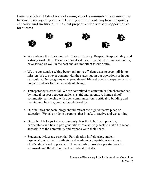Pomerene School District is a welcoming school community whose mission is to provide an engaging and safe learning environment, emphasizing quality education and traditional values that prepare students to seize opportunities for success.



- $\triangleright$  We embrace the time-honored values of Honesty, Respect, Responsibility, and a strong work ethic. These traditional values are cherished by our community, have served us well in the past and are important to our future.
- $\triangleright$  We are constantly seeking better and more efficient ways to accomplish our mission. We are never content with the status quo in our operations or in our curriculum. Our programs must provide real life and practical experiences that prepare students for the demands of change.
- $\triangleright$  Transparency is essential. We are committed to communication characterized by mutual respect between students, staff, and parents. A home/school/ community partnership with open communication is critical to building and maintaining healthy, productive relationships.
- $\geq 0$ ur facilities and technology should reflect the high value we place on education. We take pride in a campus that is safe, attractive and welcoming.
- $\geq 0$ ur school belongs to the community. It is the hub for cooperation, partnerships and ties to past generations. We actively seek to make the school accessible to the community and responsive to their needs.
- $\geq$  Student activities are essential. Participation in field trips, student organizations, as well as athletic and academic competitions enriches a child's educational experience. These activities provide opportunities for teamwork and the development of leadership skills.

Pomerene Elementary Principal's Advisory Committee July 2017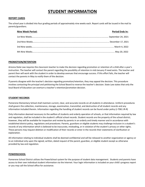## **STUDENT INFORMATION**

#### **REPORT CARDS**

The school year is divided into four grading periods of approximately nine weeks each. Report cards will be issued in the mail to parents/guardians.

| <b>Nine Week Period:</b> | <b>Period Ends In:</b> |
|--------------------------|------------------------|
|                          |                        |
|                          |                        |
|                          |                        |
|                          |                        |

#### **PROMOTION/RETENTION**

Arizona State Law requires the classroom teacher to make the decision regarding promotion or retention of a child after a year's instruction. The teacher will contact the parent regarding the possibility of retention in mid-January if need exists. The teacher and parent then will work with the student in order to develop avenues that encourage success. If this effort fails, the teacher will contact the parents in May to notify them of the decision.

If parents disagree with the teacher's decision regarding promotion/retention, they may appeal the decision. This procedure involves contacting the principal and petitioning the School Board to reverse the teacher's decision. State Law states that only the local Board of Education can overturn a teacher's retention/promotion decision.

#### **STUDENT RECORDS**

Pomerene Elementary School shall maintain current, clear, and accurate records on all students in attendance. Uniform procedures shall govern the collection, maintenance, storage, examination, transmittal, and destruction of all student records and any information included therein. Information regarding the handling of student records can be found under policy (J-7061 JR-R)

Only information deemed necessary to the welfare of students and orderly operation of schools, or that information required by law and regulation, shall be included in the student's official school records. Student records are the property of the school district; however, they will be available for inspection and review by parents in an orderly and timely manner and in accordance with established district policy, regulations and procedures. Parents, guardians or eligible students may challenge inclusion in a student's records of any information which is believed to be inaccurate, misleading, or in violation of the student's privacy or other rights. These persons may request deletion or modification of their records or enter in the records their statements of clarification or explanation.

All information relating to individual students shall be deemed confidential and will be released to another organization or agency or to an individual only upon the signed, written, dated request of the parent, guardian, or eligible student except as otherwise provided by law and regulation.

#### **POWERSCHOOL**

Pomerene School District utilizes the PowerSchool system for the purpose of student data management. Students and parents have access to their own individual student information via the Internet. Your login information is included on your child's progress report or you may call the School office for assistance.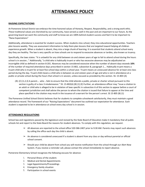## **ATTENDANCE POLICY**

#### **RAISING EXPECTATIONS**

At Pomerene School District we embrace the time-honored values of Honesty, Respect, Responsibility, and a strong work ethic. These traditional values are cherished by our community, have served us well in the past and are important to our future. As the governing board we want the community and staff to know we are 100% behind student success and feel it to be important to "Raise Expectations"

Additionally, attendance is essential for student success. When students miss school, they miss educational opportunities. Teachers plan lessons weekly. They use assessment information to help them plan lessons that are targeted toward helping all children experience growth. When a student is absent, they miss a large chunk of learning. It is essential that students attend school every day they are healthy. The law is very specific on how schools are to respond to excessive absences or tardies, also known as truancy.

Specifically, the laws states: "It is unlawful for any child between six and sixteen years of age to fail to attend school during the hours school is in session…" Additionally, "a child who is habitually truant or who has excessive absences may be adjudicated an incorrigible child as defined in section 8-201. Absences may be considered excessive when the number of absent days exceeds **10%** of the number of required attendance days prescribed in section 15-802, subsection B, paragraph 1…. Habitually truant means a truant child who is truant for at least five school days within a school year. Truant means an unexcused absence for at least one class period during the day. Truant child means a child who is between six and sixteen years of age and who is not in attendance at a public or private school during the hours that school is in session, unless excused as provided by this section. SS: 15-803 (A)

(B) (C) (1,2,3) A parent…. who …fails to ensure that the child attends a public, private or charter school pursuant to this section is guilty of a class 3 misdemeanor." SS: 15-802(A) (B) (1) (E) Further, an attendance officer may "issue a citation to an adult or child who is alleged to be in violation of laws specific in subsection A of this section to appear before a court of competent jurisdiction and shall advise the person to whom the citation is issued that failure to appear at the time and place specified in the citation may result in the issuance of a warrant for the person's arrest. SS 15-805 (B) (1)

The Pomerene Unified School District believes that for students to complete schoolwork satisfactorily, they must maintain a good attendance record. The framework of our "Raising Expectations" document has outlined our expectation for attendance. Each student is expected to be in attendance at school every day school is in session.

#### **ATTENDANCE REGULATIONS**

School law and regulations passed by the legislature and revised by the State Board of Education make it mandatory that all public schools list and report to the State Board the reasons for student absences. To comply with this regulation, we request:

- $\triangleright$  All absences are reported to the school office 520-586-2407 prior to 9:30 AM. Parents may report such absences by calling the office each day the child is absent.
- ➢ An absence is considered unexcused if a student is absent from any class or day without parental or official school consent.
- $\triangleright$  Should your child be absent from school you will receive notification from the school through our Alert Now System. If you receive a reminder call, please contact the school immediately to report absence.

Pomerene Elementary School recognizes the following excuses for absence:

- 1. Personal illness of the student.
- 2. Medical and Dental Appointments
- 3. Legal Appointments/Proceedings
- 4. Emergency family situation
- 5. Participation in school events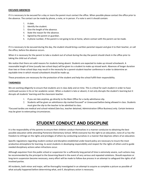#### **EXCUSED ABSENCES**

If it is necessary to be excused for a day or more the parent must contact the office. When possible please contact the office prior to the absence. The contact can be made by phone, a note, or in person. If a note is sent it should contain:

- 1. A date.
- 2. Identify the student.
- 3. Give the length of the absence.
- 4. State the reason for the absence.
- 5. Signed by the parent or guardian.
- 6. A phone number, if the parent is not going to be at home, where contact with the parent can be made.

If it is necessary to be excused during the day, the student should bring a written parental request and give it to their teacher, or call the office, before the absence occurs.

When it is necessary for the parent to take a student out of school during the day the parent should check in the office prior to taking the child out of school.

We realize that there are valid reasons for students being absent. Students are expected to make up missed schoolwork. A reasonable length of time (usually two school days) will be given to a student to make up missed work. Absences of longer duration than two or three school days may result in the necessity for a parent-student-teacher conference in order to determine an equitable time in which missed schoolwork should be made up.

These procedures are necessary for the protection of the student and help the school fulfill their responsibility.

#### **TARDINESS**

We are working diligently to ensure that students are in class daily and on time. This is critical for each student in order to have continued success in his or her academic career. When a student is late or absent, it not only disrupts the student's learning but it disrupts all students' learning and the classroom teacher.

- 1. If you are late anytime, go directly to the Main Office for a tardy admittance slip.
- 2. Students will be given an admittance slip marked Excused\* or Unexcused before being allowed in class. Students must give the slip to the teacher to be admitted to class.

\*Excused tardies are medical and school-related (late bus, teacher detained, Administration Office Business) only. Certain lenience may be given to extenuating circumstances.

## **STUDENT CONDUCT AND DISCIPLINE**

It is the responsibility of the parents to ensure their children conduct themselves in a manner conducive to obtaining the best possible education while attending Pomerene Elementary School. While everyone has the right to an education, none of us has the freedom to infringe on the rights and privileges of others by conducting ourselves in a manner that deprives others of an education.

Specific regulations regarding student conduct and discipline established under board policy are necessary to insure the most productive atmosphere for learning, to assist students in developing responsibility and respect for the rights of others and to guide needed disciplinary actions when infractions occur.

Although expulsion from the public school or suspension for a sufficiently long period of time is extremely severe, such actions may be recommended by the principal to the Governing Board in the event of very serious and repeated violations. Should expulsion or long-term suspension become necessary, every effort will be made to follow due process in an attempt to safeguard the rights of all involved parties.

All incidents, both minor and major, will be thoroughly investigated in an attempt to acquire as complete a picture as possible of what actually happened before determining what, and if, disciplinary action is necessary.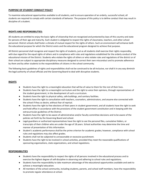#### **PURPOSE OF STUDENT CONDUCT POLICY**

To maximize educational opportunities available to all students, and to ensure operation of an orderly, successful school, all students are required to comply with certain standards of behavior. The purpose of this policy is to define conduct that may result in discipline of a student.

#### **RIGHTS AND RESPONSIBILITIES:**

All students are entitled to enjoy the basic rights of citizenship that are recognized and protected by laws of this country and state for persons of their age and maturity. Each student is obligated to respect the rights of classmates, teachers, and other school personnel. District schools shall foster a climate of mutual respect for the rights of others. Such an environment will enhance both the educational purpose for which the District exists and the educational program designed to achieve that purpose.

All District personnel shall recognize and respect the rights of students, just as all students shall exercise their rights responsibly, with due regard for the equal rights of others and in compliance with rules and regulations established for the orderly conduct of the educational mission of the District. Students who violate the rights of others or who violate rules and regulations of the district or of their school are subject to appropriate disciplinary measures designed to correct their own misconduct and to promote adherence by them and by other students to the responsibilities of citizens in the school community.

The following basic guidelines of rights and responsibilities shall not be construed to be all-inclusive, nor shall it in any way diminish the legal authority of school officials and the Governing Board to deal with disruptive students.

#### **RIGHTS**

- Students have the right to a meaningful education that will be of value to them for the rest of their lives.
- Students have the right to a meaningful curriculum and the right to voice their opinions, through representatives of the student government, in the development of such a curriculum.
- Students have the right to physical safety, safe buildings, and sanitary facilities.
- Students have the right to consultation with teachers, counselors, administrators, and anyone else connected with the school if they so desire, without fear of reprisal.
- Students have the right to free elections of their peers in student government, and all students have the right to seek and hold office in accordance with the provisions of the student government constitution and in keeping with the extracurricular guidelines of the District.
- Students have the right to be aware of administrative and/or faculty committee decisions and to be aware of the policies set forth by the Governing Board and school.
- Legal guardians or authorized representatives have the right to see the personal files, cumulative folders, or transcripts of their children who are under the age of 18 years. School authorities may determine the time and manner of presentation of this information.
- Student's academic performance shall be the prime criterion for academic grades; however, compliance with school rules and regulations may also affect grades.
- Students shall not be subjected to unreasonable or excessive punishment.
- Students have the right to be involved in school activities, provided they meet the reasonable qualifications of sponsoring organizations, state organizations, and school regulations.

#### **RESPONSIBILITIES**

- Students have the responsibility to respect the rights of all persons involved in the educational process and to exercise the highest degree of self-discipline in observing and adhering to school rules and regulations.
- Students have the responsibility to take maximum advantage of the educational opportunities available and seek to achieve a meaningful education.
- All members of the school community, including students, parents, and school staff members, have the responsibility to promote regular attendance at school.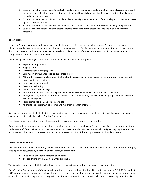- Students have the responsibility to protect school property, equipment, books and other materials issued to or used by them in the instructional process. Students will be held financially responsible for any loss or intentional damage caused to school property.
- Students have the responsibility to complete all course assignments to the best of their ability and to complete makeup work after an absence.
- Students have the responsibility to help maintain the cleanliness and safety of the school buildings and property.
- Students have the responsibility to present themselves in class at the prescribed time and with the necessary materials.

#### **DRESS CODE**

Pomerene School encourages students to take pride in their attire as it relates to the school setting. Students are expected to adhere to standards of dress and appearance that are compatible with an effective learning environment. Students dressed in a way that is considered to be disruptive, provocative, revealing, profane, vulgar, offensive or obscene, or which endangers the health or safety of the student or others is prohibited.

The following will serve as guidance for attire that would be considered inappropriate:

- Exposed undergarments.
- Sagging pants.
- Excessively short or tight garments.
- Bare midriff shirts, halter-tops, and spaghetti straps.
- Attire with messages or illustrations that are lewd, indecent or vulgar or that advertise any product or service not permitted by law to minors.
- Head covering of any kind.
- See-through clothing.
- Attire that exposes cleavage.
- Any adornment such as chains or spikes that reasonably could be perceived as or used as a weapon.
- Any symbols, styles or attire frequently associated with intimidation, violence or violent groups about which students have been notified.
- Facial piercing to include nose, lip, eye, etc.
- All shorts and skirts must be tailored and mid-thigh in length or longer.

Bare feet are never acceptable. In the interests of student safety, shoes must be worn at all times. Closed shoes are to be worn for any type of physical activity, such as Physical Education, etc.

Exceptions for special activities or health considerations may be pre-approved by the administrator.

If a student's dress or appearance is such that it constitutes a threat to the health or safety of others, distracts the attention of other students or staff from their work, or otherwise violates this dress code, the principal or principal's designee may require the student to change his or her dress or appearance. A second or repeated violation of this policy may result in disciplinary action

#### **TEMPORARY REMOVAL:**

Teachers are authorized to temporarily remove a student from a class. A teacher may temporarily remove a student to the principal, or to a person designated by the school administrator, in accord with:

- Rules established for the referral of students.
- The conditions of A.R.S. 15-841, when applicable.

The Superintendent shall establish such rules as are necessary to implement the temporary removal procedure.

*Threatened an Educational Institution* means to interfere with or disrupt an educational institution as found in A.R.S. 15-841 and 13- 2911. A student who is determined to have threatened an educational institution shall be expelled from school for at least one year except that the District may modify this expulsion requirement for a pupil on a case-by-case basis and may reassign a pupil subject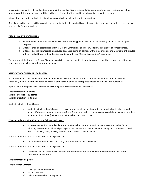to expulsion to an alternative education program if the pupil participates in mediation, community service, restitution or other programs with the student as a condition to the reassignment of the pupil to an alternative education program.

Information concerning a student's disciplinary record will be held in the strictest confidence.

Disciplinary actions taken will be recorded in an administrative log, and all types of suspensions or expulsions will be recorded in a separate file for each student.

#### **DISCIPLINARY PROCEDURES**

- 1. Student behavior which is not conducive to the learning process will be dealt with using the Assertive Discipline Program.
- 2. Offenses shall be categorized as Level I, II, or III, infractions and each will follow a sequence of consequences.
- 3. Offenses dealing with tardies, unexcused absences, being off campus without permission, and violations of bus rules will be handled through the office in accordance with our "Raising Expectations" document.

The purpose of the Pomerene School Discipline plan is to change or modify student behavior so that the student can achieve success in school-time activities as well as future pursuits.

#### **STUDENT ACCOUNTABILITY SYSTEM**

In addition to our standard Student Code of Conduct, we will use a point system to identify and address students who are continually disruptive to the educational process of the school or fail to appropriately respond to behavioral guidelines.

A point value is assigned to each infraction according to the classification of the offense.

**Level I Infraction – 5 points Level II Infraction – 15 points Level III Infraction – 50 points**

#### Students with less than **50** points:

● Students with less than 50 points can make arrangements at any time with the principal or teacher to work points off through community service efforts. These hours will be done on campus and during what is considered non-instructional time. (Before school, after school, and lunch time.)

#### When a student attains **50** points the following will occur:

● In House Suspension, Saturday detention or after school detention until points are reduced below 50. In addition, the student will lose all privileges to participate in school activities including but not limited to field trips, assemblies, clubs, dances, athletics and all other school activities.

#### When a student attains **100** points the following will occur:

● 3 days In-House Suspension (IHS). Any subsequent occurrence 5 days IHS.

#### When a student attains **150** points the following will occur:

● 10 days IHS or Out of School Suspension or Recommendation to the Board of Education for Long-Term Suspension or Expulsion.

#### **Level I Infraction 5 points**

#### **Level I- Minor Offenses**

- A. Minor classroom disruption
- B. Bus rule violation
- C. Failure to do teacher consequence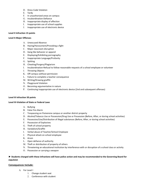- D. Dress Code Violation
- E. Tardy
- F. In unauthorized areas on campus
- G. Insubordination-Defiance
- H. Inappropriate display of affection
- I. Inappropriate use of school supplies
- J. Inappropriate use of electronic device

#### **Level II Infraction 15 points**

#### **Level II-Major Offenses**

- A. Unexcused Absence
- B. Hazing/Harassment/Provoking a fight
- C. Major classroom disruption
- D. Gang like behavior or apparel
- E. Displaying/Exhibiting pornography
- F. Inappropriate Language/Profanity
- G. Spitting
- H. Cheating/Forgery/Plagiarism
- I. Insubordination-Refusal to follow reasonable requests of a school employee or volunteer
- J. Throwing Objects
- K. Off campus without permission
- L. Failure to complete a teacher consequence
- M. Writing/Drawing graffiti
- N. Playground Violation
- O. Becoming argumentative in nature
- P. Continuing inappropriate use of electronic device (2nd and subsequent offenses)

#### **Level III Infraction 50 points**

#### **Level III-Violation of State or Federal Laws**

- A. Bullying
- B. False Fire Alarm
- C. Trespassing on Pomerene campus or another district property
- D. Alcohol/Tobacco Use or Possession/Drug Use or Possession (Before, After, or during school activities)
- E. Possession/Use/Distribution of illegal substances (Before, After, or during school activities)
- F. Possession of Explosives
- G. Theft of school property
- H. Vandalism/Graffiti
- I. Verbal abuse of Teacher/School Employee
- J. Physical attack on school employee
- K. Arson
- L. Open defiance of authority
- M. Theft or distribution of property of others
- N. Threatening an educational institution by interference with or disruption of a school class or activity
- O. Possession or carrying a weapon

#### **► Students charged with these infractions will have police action and may be recommended to the Governing Board for expulsion**

#### **Consequences Include:**

- A. For Level I
	- 1. Change student seat
	- 2. Conference with student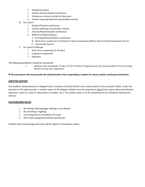- 3. Telephone parent
- 4. Teacher-Parent-Student Conference
- 5. Temporary removal outside of classroom
- 6. Teacher imposed detention (lunch/after school)
- B. For Level II
	- 1. Student/Teacher conference
	- 2. Teacher detention (lunch/after school)
	- 3. Teacher/Parent/Student conference
	- 4. Referral to Administration
		- A. Principal/Parent/Student conference
		- B. Short-term suspension (1-10 days) In-House Suspension (IHS) or Out-of-school Suspension (O.S.S.)
		- C. Community Service
- C. For Level III Offenses
	- 1. Short-term suspension (1-10 days)
	- 2. Long-term suspension
	- 3. Expulsion

The following guidelines should be considered:

1. Students who accumulate 10 days of Out of School Suspension may be recommended to the Governing Board for long term suspension.

#### **►This procedure will not preclude the administration from suspending a student for severe and/or continuous infractions.**

#### **WRITTEN REPORT**

Any students whose behavior is alleged to be in violation of school district rules may be taken to the principal's office. Under the direction of the administrator, a written report of the alleged violation must be prepared in detail (time, place, observed behavior, witnesses' name (s), name or description of violator, etc.). The written report is to be completed by the individual initiating the referral.

#### **PLAYGROUND RULES**

- 1. No teasing, bad language, bullying, or put downs.
- 2. No wrestling or fighting.
- 3. Use equipment as intended to be used.
- 4. Don't leave playground without permission.

Students who break playground rules will be subject to disciplinary action.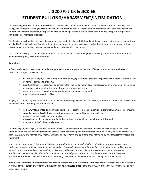## **J-3200 © JICK & JICK-EB**

## **STUDENT BULLYING/HARASSMENT/INTIMIDATION**

The Governing Board of the Pomerene School District believes it is the right of every student to be educated in a positive, safe, caring, and respectful learning environment. The Board further believes a school environment inclusive of these traits maximizes student achievement, fosters student personal growth, and helps students build a sense of community that promotes positive participation as members of society.

The District, in partnership with parents, guardians, and students, shall establish and maintain a school environment based on these beliefs. The District shall identify and implement age-appropriate programs designed to instill in students the values of positive interpersonal relationships, mutual respect, and appropriate conflict resolution.

To assist in achieving a school environment based on the beliefs of the Governing Board, bullying, harassment or intimidation as defined by this policy will not be tolerated.

#### **Definitions**

*Bullying*: Bullying may occur when a student or group of students engages in any form of behavior that includes such acts as intimidation and/or harassment that

- ➢ has the effect of physically harming a student, damaging a student's property, or placing a student in reasonable fear of harm or damage to property,
- $\geq$  is sufficiently severe, persistent or pervasive that the action, behavior, or threat creates an intimidating, threatening, or abusive environment in the form of physical or emotional harm,
- ➢ occurs when there is a real or perceived imbalance of power or strength, or
- $\geq$  may constitute a violation of law.

Bullying of a student or group of students can be manifested through written, verbal, physical, or emotional means and may occur in a variety of forms including, but not limited to

- ➢ verbal, written/printed or graphic exposure to derogatory comments, extortion, exploitation, name calling, or rumor spreading either directly through another person or group or through cyberbullying,
- exposure to social exclusion or ostracism,
- ➢ physical contact including but not limited to pushing, hitting, kicking, shoving, or spitting, and
- ➢ damage to or theft of personal property

*Cyberbullying: Cyberbullying is, but not limited to, any act of bullying committed by use of electronic technology or electronic communication devices, including telephonic devices, social networking and other Internet communications, on school computers, networks, forums and mailing lists, or other District-owned property, and by means of an individual's personal electronic media and equipment.*

*Harassment: Harassment is intentional behavior by a student or group of students that is disturbing or threatening to another student or group of students. Intentional behaviors that characterize harassment include, but are not limited to, stalking, hazing, social exclusion, name calling, unwanted physical contact and unwelcome verbal or written comments, photographs and graphics. Harassment may be related, but not limited to, race, religious orientation, sexual orientation, cultural background, economic status, size or personal appearance. Harassing behaviors can be direct or indirect and by use of social media.*

*Intimidation: Intimidation is intentional behavior by a student or group of students that places another student or group of students in fear of harm of person or property. Intimidation can be manifested emotionally or physically, either directly or indirectly, and by use of social media.*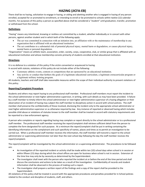### **HAZING (JICFA-EB)**

There shall be no hazing, solicitation to engage in hazing, or aiding and abetting another who is engaged in hazing of any person enrolled, accepted for or promoted to enrollment, or intending to enroll or be promoted to schools within twelve (12) calendar months. For purposes of this policy a person as specified above shall be considered a "student" until graduation, transfer, promotion or withdrawal from the school.

#### **Definitions**

"Hazing" means any intentional, knowing or reckless act committed by a student, whether individually or in concert with other persons, against another student and in which both of the following apply:

- The act was committed in connection with an initiation into, an affiliation with or the maintenance of membership in any organization that is affiliated with an educational institution.'
- The act contributes to a substantial risk of potential physical injury, mental harm or degradation, or causes physical injury, mental harm or personal degradation.

"Organization" means an athletic team, association, order, society, corps, cooperative, club, or similar group that is affiliated with an educational institution and whose membership consists primarily of students enrolled at that educational institution.

#### **Directions**

It is no defense to a violation of this policy if the victim consented or acquiesced to hazing.

In accord with statute, violations of this policy do not include either of the following:

- Customary athletic events, contests or competitions that are sponsored by an educational institution.
- Any activity or conduct that furthers the goals of a legitimate educational curriculum, a legitimate extracurricular program or a legitimate military training program.

All students, teachers and staff shall take reasonable measures within the scope of their individual authority to prevent violations of this policy.

#### **Reporting/Complaint Procedure**

Students and others may report hazing to any professional staff member. Professional staff members must report the incident to the school administrator or next higher administrative supervisor, in writing, with such details as may have been provided. A failure by a staff member to timely inform the school administrator or next higher administrative supervisor of a hazing allegation or their observation of an incident of hazing may subject the staff member to disciplinary action in accord with school policies. The staff member shall preserve the confidentiality of those involved, disclosing the incident only to the appropriate school administrator or next higher administrative supervisor or as otherwise required by law. Any instance of reported or observed hazing which includes possible child abuse or violations of statutes known to the staff member shall be treated in accord with statutory requirements and be reported to a law enforcement agency.

A person who complains or reports regarding hazing may complain or report directly to the school administrator or to a professional staff member. The professional staff member receiving the report/complaint shall retrieve sufficient detail from the person to complete the form designated for such purpose. At a minimum the report/complaint shall be put in writing containing the identifying information on the complainant and such specificity of names, places and times as to permit an investigation to be carried out. When a professional staff member receives the information, the staff member will transmit a report to the school administrator or supervising administrator not later than the next school day following the day the staff member receives the report/complaint.

The report/complaint will be investigated by the school administrator or a supervising administrator. The procedures to be followed are:

- An investigation of the reported incident or activity shall be made within ten (10) school days when school is in session or within fifteen (15) days during which the school offices are open for business when school is not in session. Extension of the time line may only be by necessity as determined by the Superintendent.
- The investigator shall meet with the person who reported the incident at or before the end of the time period and shall discuss the conclusions and actions to be taken as a result of the investigation. Confidentiality of records and student information shall be observed in the process of making such a report.
- The investigator shall prepare a written report of the findings and a copy of the report shall be provided to the Superintendent.

All violations of this policy shall be treated in accord with the appropriate procedures and penalties provided for in School policies related to the conduct and discipline of students, staff, and others.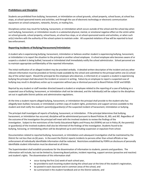#### **Prohibitions and Discipline**

Students are prohibited from bullying, harassment, or intimidation on school grounds, school property, school buses, at school bus stops, at school-sponsored events and activities, and through the use of electronic technology or electronic communication equipment on school computers, networks, forums, or mailing lists.

Disciplinary action may result for bullying, harassment, or intimidation which occurs outside of the school and the school day when such bullying, harassment, or intimidation results in a substantial physical, mental, or emotional negative effect on the victim while on school grounds, school property, school buses, at school bus stops, or at school-sponsored events and activities, or when such act(s) interfere with the authority of the school system to maintain order. All suspected violations of law will be reported to local law enforcement.

#### **Reporting Incidents of Bullying/Harassment/Intimidation**

A student who is experiencing bullying, harassment, intimidation or believes another student is experiencing bullying, harassment, or intimidation is to report the situation to the principal or another school employee. A school employee who becomes aware of or suspects a student is being bullied, harassed or intimidated shall immediately notify the school administrator. School personnel are to maintain appropriate confidentiality of the reported information.

The initial notification of an alleged incident may be provided verbally. A detailed written description of the incident and any other relevant information must be provided on form(s) made available by the school and submitted to the principal within one (1) school day of the verbal report. Should the principal be the employee who observes, is informed of, or suspects a student is experiencing bullying the principal shall document the incident or concern in writing. Failure by an employee to report a suspected case of bullying may result in disciplinary action up to suspension without pay or dismissal pursuant to Board Policies GCQF and GDQD.

Reprisal by any student or staff member directed toward a student or employee related to the reporting of a case of bullying or a suspected case of bullying, harassment, or intimidation shall not be tolerated, and the individual(s) will be subject to the disciplines set out in applicable District policies and administrative regulations.

At the time a student reports alleged bullying, harassment, or intimidation the principal shall provide to the student who has allegedly been bullied, harassed, or intimidated a written copy of student rights, protections and support services available to the student and shall notify the student's parent(s)/guardian(s) of the suspected incident of harassment, intimidation or bullying.

The principal shall investigate *all* reports of bullying, harassment, or intimidation. If the principal determines that bullying, harassment, or intimidation has occurred, discipline will be administered pursuant to Board Policies JK, JKD, and JKE. Regardless of the outcome of the investigation the principal will meet with the involved students to review the findings of the investigation. Subject to the restrictions of the Family Educational Rights and Privacy Act (FERPA) set out in Policy JR, the parent(s) or guardian(s) of the involved students shall also be informed of the findings of the investigation. Students found to be bullying, harassing, or intimidating others will be disciplined up to and including suspension or expulsion from school.

Documentation related to reported bullying, harassment, or intimidation and subsequent investigation shall be maintained by the District for not less than six (6) years. In the event the District reports incidents to persons other than school officials or law enforcement all individually identifiable information shall be redacted. Restrictions established by FERPA on disclosure of personally identifiable student information must be observed at all times.

The Superintendent shall establish procedures for the dissemination of information to students, parents and guardians. The information will include, but not be limited to, Governing Board policies, incident reporting, support services (proactive and reactive) and student's rights. The dissemination of this information shall

- occur during the first (1st) week of each school year,
- be provided to each incoming student during the school year at the time of the student's registration,
- be posted in each classroom and in common areas of the school, and
- be summarized in the student handbook and on the District website, and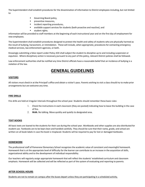The Superintendent shall establish procedures for the dissemination of information to District employees including, but not limited to

- Governing Board policy,
- **Preventive measures.**
- **·** incident reporting procedures,
- available support services for students (both proactive and reactive), and
- **student rights.**

Information will be provided to staff members at the beginning of each instructional year and on the first day of employment for new employees.

The Superintendent shall establish procedures designed to protect the health and safety of students who are physically harmed as the result of bullying, harassment, or intimidation. These will include, when appropriate, procedures for contacting emergency medical services, law enforcement agencies, or both.

Knowingly submitting a false report under Policy JICK shall subject the student to discipline up to and including suspension or expulsion. Where disciplinary action is necessary pursuant to any part of this policy, relevant District policies shall be followed.

Law enforcement authorities shall be notified any time District officials have a reasonable belief that an incidence of bullying is a violation of the law.

## **GENERAL GUIDELINES**

#### **VISITORS**

All visitors must check in at the Principal's office and obtain a visitor's pass. Parents wishing to visit a class should try to make prior arrangements but are welcome any time.

#### **FIRE DRILLS**

Fire drills are held at irregular intervals throughout the school year. Students should remember these basic rules:

- 1. Check the instructions in each classroom (they are posted) indicating how to leave the building in the case of fire.
- 2. **Walk.** No talking. Move quickly and quietly to designated area.

#### **TEXT BOOKS**

All basic texts are loaned to the students for their use during the school year. Workbooks and other supplies are also distributed for student use. Textbooks are to be kept clean and handled carefully. They should be sure that their name, grade, and school are written on all book labels in case the book is misplaced. Students will be required to pay for lost or damaged textbooks.

#### **HOMEWORK**

The professional staff of Pomerene Elementary School recognizes the academic value of consistent and meaningful homework. Homework that is at the appropriate level of difficulty for the learner can contribute to an increase in the acquisition of skills, organizational ability and to the development of individual responsibility.

Our teachers will regularly assign appropriate homework that will reflect the students' established curriculum and classroom emphasis. Homework will be collected and will be reflected as part of the system of evaluating and reporting to parents.

#### **AFTER SCHOOL HOURS**

Students are not to remain on campus after the buses depart unless they are participating in a scheduled activity.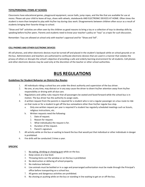#### **TOYS/PERSONAL ITEMS AT SCHOOL**

Classrooms have educational games, playground equipment, soccer balls, jump ropes, and the like that are available for use at recess. Please ask your child to leave all toys, shoes with wheels, skateboards AND ELECTRONIC DEVICES AT HOME. Often times the student is more than tempted to play with his/her toy during class work. Disagreements between children often occur as a result of students bringing their favorite things to school.

"Show and Tell" activities are often seen by the children as good reasons to bring a toy or a collection of toys to develop skills by speaking before his/her peers. Parents and students need to know your teacher's policy on "toys" as a topic for such discussion.

Remember: Toys are allowed at school only with teacher's approval and for "Show and Tell".

#### **CELL PHONES AND OTHER ELECTRONIC DEVICES**

All cell phones, and other electronic devices must be turned off and placed in the student's backpack while on school grounds or on the bus. Administrators and teachers are authorized to confiscate electronic devices that are used in a manner that violates the privacy of others or disrupts the school's objective of providing a safe and orderly learning environment for all students. Cell phones and other electronic devices may be used only at the discretion of the teacher or other school authorities.

## **BUS REGULATIONS**

#### **Guidelines for Student Behavior on District Bus Routes**

- 1. All individuals riding a school bus are under the direct authority and supervision of the bus driver.
- 2. No one, at any time, may distract or in any way cause the driver to divert his/her attention away from his/her responsibility or driving with all due care.
- 3. Regulations and safety rules require that all passengers be seated and faced forward while the school bus is in motion. The bus driver has the authority to assign seats.
- 4. A written request from the parents is required for a student who is not a regular passenger on a bus route to ride on that route or for a student to get off the bus somewhere other than his/her regular bus stop.
	- a. Only one written request per year is required if a student has regularly scheduled meetings such as Scouts, religious instructions, etc.
	- b. Written requests need the following:
		- 1. Date of request.
		- 2. Reason for request.
		- 3. What individual(s) the request is for.
		- 4. Duration of the request.
		- 5. Parent's signature
- 5. All activity while on the bus or waiting to board the bus that would put that individual or other individuals in danger is prohibited.
- 6. Fire drills will be conducted 2 times a year.

#### **SPECIFIC**

- 1. No eating, drinking or chewing gum while on the bus.
- 2. Keep voices at a low level.
- 3. Throwing items out the window or on the bus is prohibited.
- 4. No destruction or defacing of school property.
- 5. No malicious behavior.
- 6. Live animals must be bottled or in a cage and prearranged authorization must be made through the Principal's office before transporting on a school bus.
- 7. All games and dangerous activities are prohibited.
- 8. No shoving or pushing while on the bus or standing in line waiting to get on or off the bus.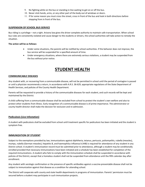- 9. No fighting while on the bus or standing in line waiting to get on or off the bus.
- 10. Never stick hands, arms, or any other part of the body out of windows or doors.
- 11. If for some reason you must cross the street, cross in front of the bus and look in both directions before stepping from in front of the bus.

#### **SUSPENSION OF SCHOOL BUS SERVICE**

Bus riding is a privilege – not a right. Arizona law gives the driver complete authority to maintain safe transportation. When school bus rules are consistently violated and cause danger to the students or drivers, the school authorities will take action to remedy the situation.

#### **The action will be as follows:**

- Under some situations, the parents will be notified by school authorities. If the behavior does not improve, the bus service will be suspended for a specified amount of time.
- Under emergency situations, where there are extremely serious violations, a student may be suspended from the bus without prior notice.

## **STUDENT HEALTH**

#### **COMMUNICABLE DISEASES**

Any student with, or recovering from a communicable disease, will not be permitted in school until the period of contagion is passed or until a physician recommends a return, in accordance with A.R.S. 36-629, appropriate regulations of the State Department of Health Services, and policies of the County Health Department.

Parents will be requested to provide a history of the communicable diseases for each student, and such records will be kept and maintained by the District.

A child suffering from a communicable disease shall be excluded from school to protect the student's own welfare and also to protect other students from illness. Early recognition of a communicable disease is of prime importance. The administrator or county health director shall make the decision for exclusion and re-admission.

#### **Pediculosis (Lice Infestation)**

A student with pediculosis shall be excluded from school until treatment specific for pediculosis has been initiated and the student is symptom free.

#### **IMMUNIZATION OF STUDENT**

Subject to the exemptions provided by law, immunizations against diphtheria, tetanus, pertussis, poliomyelitis, rubella (measles), mumps, rubella (German measles), hepatitis B, and haemophilus influenza b (HIB) is required for attendance of any student in any District school. A student's immunization record must be submitted prior to attendance, although a student may be conditionally enrolled provided that necessary immunizations have been initiated and a schedule has been established for completion of the required immunizations. A student who fails to comply with the immunization schedule shall be suspended in accordance with policies of the District, except that a homeless student shall not be suspended from attendance until the fifth calendar day after enrollment.

Any student with serologic confirmation or the presence of specific antibodies against a vaccine-preventable disease shall not be subject to immunization against that disease as a condition for attending school.

The District will cooperate with county and state health departments in programs of immunization. Parents' permission must be secured before a student may participate in such immunization projects.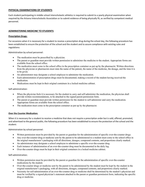#### **PHYSICAL EXAMINATIONS OF STUDENTS**

Each student participating in middle school interscholastic athletics is required to submit to a yearly physical examination when required by the Arizona Interscholastic Association or to submit evidence of being physically fit, as verified by competent medical personnel.

#### **ADMINISTERING MEDICINE TO STUDENTS**

#### **Prescription Drugs:**

For occasions when it is necessary for a student to receive a prescription drug during the school day, the following procedure has been established to ensure the protection of the school and the student and to assure compliance with existing rules and regulations:

Administration by school personnel:

- The medication must be prescribed by a physician.
- The parent or guardian must provide written permission to administer the medicine to the student. Appropriate forms are available from the school office.
- The medication must come to the school office in the prescription container as put up by the pharmacist. Written directions from the physician or pharmacists must state the name of the patient, the name of the medicine, the dosage, and the time it is to be given.
- An administrator may designate a school employee to administer the medication.
- Each administration of prescription drugs must be documented, making a record of the student having received the medication.
- Medications must be kept in their original containers in a locked medicine cabinet.

Self-administration:

- When the physician feels it is necessary for the student to carry and self-administer the medication, the physician shall provide written recommendations, to be attached to the signed parent permission form.
- The parent or guardian must provide written permission for the student to self-administer and carry the medication. Appropriate forms are available from the school office.
- The medication must come in the prescription container as put up by the pharmacist.

#### **Over the Counter Medication:**

When it is necessary for a student to receive a medicine that does not require a prescription order but is sold, offered, promoted, and advertised to the general public, the following procedure has been established to ensure the protection of the school and the student:

Administration by school personnel:

- Written permission must be provided by the parent or guardian for the administration of specific over-the-counter drugs.
- Any over-the-counter drug or medicine sent by the parent to be administered to a student must come to the school office in the original manufacturer's packaging with all directions, dosages, compound contents, and proportions clearly marked.
- An administrator may designate a school employee to administer a specific over-the-counter drug.
- Each instance of administration of an over-the-counter drug must be documented in the daily log.
- Over-the-counter drugs must be kept in their original containers in a locked medicine cabinet.

Self-administration:

- Written permission must be provided by the parent or guardian for the administration of specific over-the-counter medications by the student.
- Over-the-counter drugs or medicine sent by the parent to be administered by the student must be kept by the student in the original manufacturer's packaging, with all directions, dosages, compound contents, and proportions clearly marked.
- Necessity for self-administration of an over-the-counter drug or medicine shall be determined by the student's physician and must be verified by a signed physician's statement attached to the parent or guardian permission form, indicating the specific drug or medicine.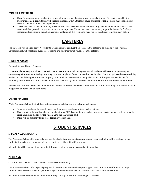#### **Protection of Students**

- Use of administration of medication on school premises may be disallowed or strictly limited if it is determined by the Superintendent, in consultation with medical personnel, that a threat of abuse or misuse of the medicine may pose a risk of harm to a member of the student population.
- The student shall take extraordinary precautions to keep secure any medication or drug, and under no circumstances shall make available, provide, or give the item to another person. The student shall immediately report the loss or theft of any medication brought onto the school campus. Violation of this regulation may subject the student to disciplinary action.

## **CAFETERIA**

The cafeteria will be open daily. All students are expected to conduct themselves in the cafeteria as they do in their homes. Complete hot lunch meals are available. Students bringing their lunch must eat in the cafeteria.

#### **LUNCH PROGRAM**

Free and Reduced Lunch Program

Pomerene Elementary School participates in the AZ free and reduced lunch program. All students will have an opportunity to complete application forms. Each parent may choose to apply for free or reduced-priced lunches. The principal has the responsibility to check to see if the applications are properly completed and to determine the qualifications of the applicant. Guidelines for approving free and reduced lunch applications are established by the Arizona Department of Education and the U.S. Government.

Families with more than one child in Pomerene Elementary School need only submit one application per family. Written notification of approval or denial will be sent home.

#### **Charges for Meals**

While Pomerene School District does not encourage meal charges, the following will apply:

- Students who do not have cash to pay for their meals may be permitted to charge them.
- Charges will only be allowed to accumulate for ten (10) days per family. (After the ten-day period, parents will be called to bring a lunch or money for the student until the charges are paid.)
- Steps will be promptly taken to collect all overdue balances.

## **STUDENT SERVICES**

#### **SPECIAL NEEDS STUDENTS**

The Pomerene School offers special programs for students whose needs require support services that are different form regular students. A specialized curriculum will be set up to serve these identified students.

All students will be screened and identified through testing procedures according to state law.

#### **CHILD FIND**

Child Find IDEA "97 P.L. 105-17 (Individuals with Disabilities Act).

The Pomerene School offers special programs for students whose needs require support services that are different from regular students. These services include ages 3-21. A specialized curriculum will be set up to serve these identified students.

All students will be screened and identified through testing procedures according to state laws.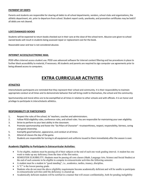#### **PAYMENT OF DEBTS**

Parents and students are responsible for clearing all debts to all school departments, vendors, school clubs and organizations, the athletic department, etc. prior to departure from school. Student report cards, yearbooks, and promotion certificates may be held if all debts are not cleared.

#### **LOST/DAMAGED BOOKS**

Students will be expected to return books checked out in their care at the close of the school term. Abusive care given to school owned books will result in students being assessed repair or replacement cost for the book.

Reasonable wear and tear is not considered abusive.

#### **INTERNET ACCESS/ELECTRONIC MAIL**

PESD offers internet access student use. PESD uses advanced software for internet content filtering and has procedures in place to further block accessibility to material, if necessary. All students and parents are required to sign computer use agreements prior to being allowed access to computers.

## **EXTRA CURRICULAR ACTIVITIES**

#### **ATHLETICS**

Interscholastic participants are reminded that they represent their school and community. It is their responsibility to maintain appropriate conduct at all times and to demonstrate behavior that will bring credit to themselves, the school and the community.

Sportsmanship and moral ethics are to be exemplified at all times in relation to other schools and with officials. It is an honor and privilege to participate in interscholastic athletics.

#### **RESPONSIBILITY OF PARTICIPANTS**

- 1. Respect the rules of the school, its' teachers, coaches and administrators.
- 2. Follow PESD eligibility rules, conference rules, and school rules. You are responsible for maintaining your own eligibility.
- 3. Strive to perform to your best ability in the classroom.
- 4. Promote sportsmanship and foster the "Six Pillars of Character" –trustworthiness, respect, responsibility, fairness, caring and good citizenship.
- 5. Exemplify good behavior, appearance, and conduct at all times.
- 6. Attend all classes the day of the game.
- 7. Students are responsible for turning in all equipment and uniforms issued to them immediately after the season is over.

#### **Academic Eligibility to Participate in Extracurricular Activities:**

- To be eligible, students must be passing all of their subjects at the end of each one week grading interval. A student has one week to make up any deficiency from the time of the first notice.
- SEMESTER ELIGIBILITY; Students must be passing all core classes (Math, Language Arts, Science and Social Studies) at the end of each semester to be eligible to compete in extracurricular activities the following semester.
- A student must be a student in "good standing", i.e., academics, tardies, truancy, discipline.
- A "C" is the lowest passing grade.
- Students who do not meet the above eligibility requirements become academically deficient and will be unable to participate in extracurricular activities until the deficiency is cleared up.
- Academically deficient students will be notified in a manner that will ensure confidentiality, both for pending ineligibility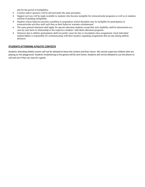and for the period of ineligibility.

- Coaches and/or sponsors will be advised under the same procedure.
- Support services will be made available to students who become ineligible for extracurricular programs as well as to students notified of pending ineligibility.
- Students whose behavior presents a problem or jeopardizes school discipline may be ineligible for participation in extracurricular activities until such time as their behavior warrants reinstatement.
- The same general statement shall apply for special education students except that such eligibility shall be determined on a case-by-case basis in relationship to the respective students' individual education programs.
- Absences due to athletic participation shall not justify cause for late or incomplete class assignments. Each individual student/athlete is responsible for communicating with their teachers regarding assignments that are due during athletic absences.

#### **STUDENTS ATTENDING ATHLETIC CONTESTS**

Students attending athletic events will not be allowed to leave the contest and then return. We cannot supervise children who are playing on the playground. Students misbehaving at the games will be sent home. Students will not be allowed to use the phone to call and see if they can stay for a game.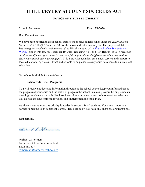## **TITLE I/EVERY STUDENT SUCCEEDS ACT**

#### **NOTICE OF TITLE I ELIGIBILITY**

School: Pomerene Date: 7/1/2020

Dear Parent/Guardian:

We have been notified that our school qualifies to receive federal funds under the *Every Student Succeeds Act (ESSA), Title I, Part A,* for the above indicated school year. The purpose of Title I-*Improving the Academic Achievement of the Disadvantaged* of the *[Every Student Succeeds Act](http://www.ed.gov/ESEA)  [\(ESSA\)](http://www.ed.gov/ESEA)* (signed into law on December 10, 2015, replacing No Child Left Behind) is to *"provide all children significant opportunity to receive a fair, equitable, and high-quality education, and to close educational achievement gaps".* Title I provides technical assistance, service and support to local educational agencies (LEAs) and schools to help ensure every child has access to an excellent education.

Our school is eligible for the following:

#### **Schoolwide Title I Program:**

You will receive notices and information throughout the school year to keep you informed about the progress of your child and the status of progress the school is making toward helping students meet high academic standards. We look forward to your attendance at school meetings when we will discuss the development, revision, and implementation of this Plan.

As always, our number one priority is academic success for all students. You are an important partner in helping us to achieve this goal. Please call me if you have any questions or suggestions.

Respectfully,

Making L. Sherman

Michael L. Sherman Pomerene School Superintendent 520.586.2407 [msherman@pomereneschool.org](mailto:msherman@pomereneschool.org)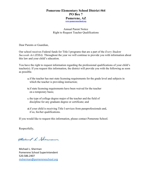#### **Pomerene Elementary School District #64 PO Box 7 Pomerene, AZ [www.pomereneschool.org](http://www.pomereneschool.org/)**

Annual Parent Notice Right to Request Teacher Qualifications

Dear Parents or Guardian,

Our school receives Federal funds for Title I programs that are a part of the *Every Student Succeeds Act (ESSA).* Throughout the year we will continue to provide you with information about this law and your child's education.

You have the right to request information regarding the professional qualifications of your child's teacher(s). If you request this information, the district will provide you with the following as soon as possible.

- **a.**if the teacher has met state licensing requirements for the grade level and subjects in which the teacher is providing instruction;
- **b.**if state licensing requirements have been waived for the teacher on a temporary basis;
- **c.** the type of college degree major of the teacher and the field of discipline for any graduate degree or certificate; and
- **d.**if your child is receiving Title I services from paraprofessionals and, if so, his/her qualifications.

If you would like to request this information, please contact Pomerene School.

Respectfully,

Muchand L. Sherman

Michael L. Sherman Pomerene School Superintendent 520.586.2407 [msherman@pomereneschool.org](mailto:msherman@pomereneschool.org)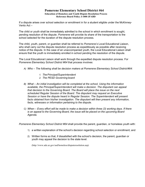#### **Pomerene Elementary School District #64 Education of Homeless and Youth Dispute Resolution Process Reference Board Policy J-1000 JFABD**

If a dispute arises over school selection or enrollment in for a student eligible under the McKinney-Vento Act –

The child or youth shall be immediately admitted to the school in which enrollment is sought, pending resolution of the dispute. *Pomerene* will provide its share of the transportation to the school selected for the duration of the dispute resolution process.

The child, youth, parent, or guardian shall be referred to *Pomerene's* Local Educational Liaison, who shall carry out the dispute resolution process as expeditiously as possible after receiving notice of the dispute. In the case of an unaccompanied youth, the Local Educational Liaison shall ensure that the youth is immediately enrolled in school pending the resolution of the dispute.

The Local Educational Liaison shall work through the expedited dispute resolution process. For *Pomerene Elementary School District #64* that process involves:

- *A) Who – The following shall be decision makers at Pomerene Elementary School District#64:*
	- *1. ThePrincipal/Superintendent*
	- *2. The PESD Governing board*
- *B) What – An initial investigation will be completed at the school. Using the information available, the Principal/Superintendent will make a decision. The disputant can appeal that decision to the Governing Board. The Board will place the issue on the next scheduled Regular Session of the Board. The disputant may request an Executive Session or have the dispute heard in Regular Session. The Superintendent will present*  facts obtained from his/her investigation. The disputant will then present any information, *facts, witnesses or information pertaining to the dispute.*
- *C) When – Every effort will be made to make a decision within three (3) working days. If there is an appeal to the Governing Board, the issue will be placed on the upcoming Board Agenda.*

*Pomerene Elementary School District #64* shall provide the parent, guardian, or homeless youth with:

- 1) a written explanation of the school's decision regarding school selection or enrollment; and
- 2) Written forms so that, if dissatisfied with the school's decision, the parent, guardian or youth may appeal the decision to the state level.

[\(http://www.ade.az.gov/asd/homeless/disputeresolution.asp\)](http://www.ade.az.gov/asd/homeless/disputeresolution.asp))